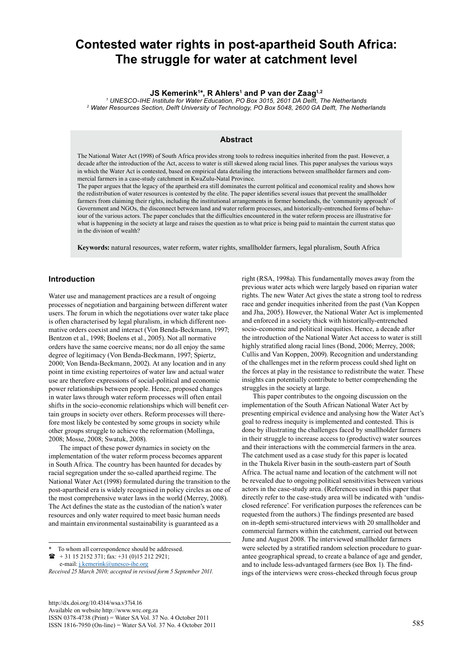# **Contested water rights in post-apartheid South Africa: The struggle for water at catchment level**

#### **JS Kemerink1 \*, R Ahlers1 and P van der Zaag1,2**

*1 UNESCO-IHE Institute for Water Education, PO Box 3015, 2601 DA Delft, The Netherlands 2 Water Resources Section, Delft University of Technology, PO Box 5048, 2600 GA Delft, The Netherlands*

# **Abstract**

The National Water Act (1998) of South Africa provides strong tools to redress inequities inherited from the past. However, a decade after the introduction of the Act, access to water is still skewed along racial lines. This paper analyses the various ways in which the Water Act is contested, based on empirical data detailing the interactions between smallholder farmers and commercial farmers in a case-study catchment in KwaZulu-Natal Province.

The paper argues that the legacy of the apartheid era still dominates the current political and economical reality and shows how the redistribution of water resources is contested by the elite. The paper identifies several issues that prevent the smallholder farmers from claiming their rights, including the institutional arrangements in former homelands, the 'community approach' of Government and NGOs, the disconnect between land and water reform processes, and historically-entrenched forms of behaviour of the various actors. The paper concludes that the difficulties encountered in the water reform process are illustrative for what is happening in the society at large and raises the question as to what price is being paid to maintain the current status quo in the division of wealth?

**Keywords:** natural resources, water reform, water rights, smallholder farmers, legal pluralism, South Africa

#### **Introduction**

Water use and management practices are a result of ongoing processes of negotiation and bargaining between different water users. The forum in which the negotiations over water take place is often characterised by legal pluralism, in which different normative orders coexist and interact (Von Benda-Beckmann, 1997; Bentzon et al., 1998; Boelens et al., 2005). Not all normative orders have the same coercive means; nor do all enjoy the same degree of legitimacy (Von Benda-Beckmann, 1997; Spiertz, 2000; Von Benda-Beckmann, 2002). At any location and in any point in time existing repertoires of water law and actual water use are therefore expressions of social-political and economic power relationships between people. Hence, proposed changes in water laws through water reform processes will often entail shifts in the socio-economic relationships which will benefit certain groups in society over others. Reform processes will therefore most likely be contested by some groups in society while other groups struggle to achieve the reformation (Mollinga, 2008; Mosse, 2008; Swatuk, 2008).

The impact of these power dynamics in society on the implementation of the water reform process becomes apparent in South Africa. The country has been haunted for decades by racial segregation under the so-called apartheid regime. The National Water Act (1998) formulated during the transition to the post-apartheid era is widely recognised in policy circles as one of the most comprehensive water laws in the world (Merrey, 2008). The Act defines the state as the custodian of the nation's water resources and only water required to meet basic human needs and maintain environmental sustainability is guaranteed as a

<http://dx.doi.org/10.4314/wsa.v37i4.16> Available on website http://www.wrc.org.za ISSN 0378-4738 (Print) = Water SA Vol. 37 No. 4 October 2011 ISSN 1816-7950 (On-line) = Water SA Vol. 37 No. 4 October 2011 585

right (RSA, 1998a). This fundamentally moves away from the previous water acts which were largely based on riparian water rights. The new Water Act gives the state a strong tool to redress race and gender inequities inherited from the past (Van Koppen and Jha, 2005). However, the National Water Act is implemented and enforced in a society thick with historically-entrenched socio-economic and political inequities. Hence, a decade after the introduction of the National Water Act access to water is still highly stratified along racial lines (Bond, 2006; Merrey, 2008; Cullis and Van Koppen, 2009). Recognition and understanding of the challenges met in the reform process could shed light on the forces at play in the resistance to redistribute the water. These insights can potentially contribute to better comprehending the struggles in the society at large.

This paper contributes to the ongoing discussion on the implementation of the South African National Water Act by presenting empirical evidence and analysing how the Water Act's goal to redress inequity is implemented and contested. This is done by illustrating the challenges faced by smallholder farmers in their struggle to increase access to (productive) water sources and their interactions with the commercial farmers in the area. The catchment used as a case study for this paper is located in the Thukela River basin in the south-eastern part of South Africa. The actual name and location of the catchment will not be revealed due to ongoing political sensitivities between various actors in the case-study area. (References used in this paper that directly refer to the case-study area will be indicated with 'undisclosed reference'*.* For verification purposes the references can be requested from the authors.) The findings presented are based on in-depth semi-structured interviews with 20 smallholder and commercial farmers within the catchment, carried out between June and August 2008. The interviewed smallholder farmers were selected by a stratified random selection procedure to guarantee geographical spread, to create a balance of age and gender, and to include less-advantaged farmers (see Box 1). The findings of the interviews were cross-checked through focus group

To whom all correspondence should be addressed.

+ 31 15 2152 371; fax: +31 (0)15 212 2921; e-mail: [j.kemerink@unesco-ihe.org](mailto:j.kemerink@unesco-ihe.org)

*Received 25 March 2010; accepted in revised form 5 September 2011.*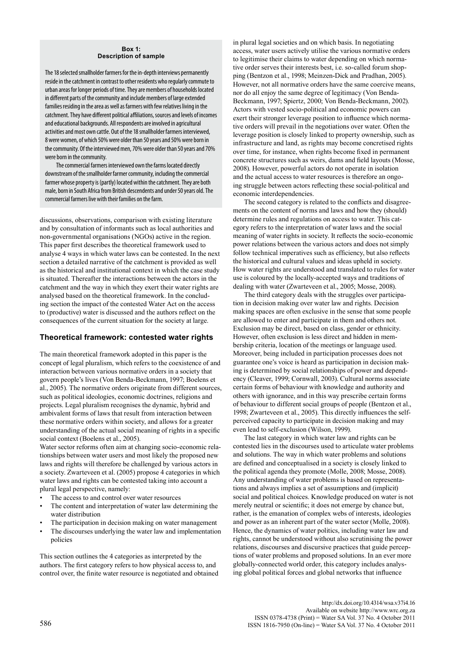#### **Box 1: Description of sample**

The 18 selected smallholder farmers for the in-depth interviews permanently reside in the catchment in contrast to other residents who regularly commute to urban areas for longer periods of time. They are members of households located in different parts of the community and include members of large extended families residing in the area as well as farmers with few relatives living in the catchment. They have different political affiliations, sources and levels of incomes and educational backgrounds. All respondents are involved in agricultural activities and most own cattle. Out of the 18 smallholder farmers interviewed, 8 were women, of which 50% were older than 50 years and 50% were born in the community. Of the interviewed men, 70% were older than 50 years and 70% were born in the community.

The commercial farmers interviewed own the farms located directly downstream of the smallholder farmer community, including the commercial farmer whose property is (partly) located within the catchment. They are both male, born in South Africa from British descendents and under 50 years old. The commercial farmers live with their families on the farm.

discussions, observations, comparison with existing literature and by consultation of informants such as local authorities and non-governmental organisations (NGOs) active in the region. This paper first describes the theoretical framework used to analyse 4 ways in which water laws can be contested. In the next section a detailed narrative of the catchment is provided as well as the historical and institutional context in which the case study is situated. Thereafter the interactions between the actors in the catchment and the way in which they exert their water rights are analysed based on the theoretical framework. In the concluding section the impact of the contested Water Act on the access to (productive) water is discussed and the authors reflect on the consequences of the current situation for the society at large.

# **Theoretical framework: contested water rights**

The main theoretical framework adopted in this paper is the concept of legal pluralism, which refers to the coexistence of and interaction between various normative orders in a society that govern people's lives (Von Benda-Beckmann, 1997; Boelens et al., 2005). The normative orders originate from different sources, such as political ideologies, economic doctrines, religions and projects. Legal pluralism recognises the dynamic, hybrid and ambivalent forms of laws that result from interaction between these normative orders within society, and allows for a greater understanding of the actual social meaning of rights in a specific social context (Boelens et al., 2005).

Water sector reforms often aim at changing socio-economic relationships between water users and most likely the proposed new laws and rights will therefore be challenged by various actors in a society. Zwarteveen et al. (2005) propose 4 categories in which water laws and rights can be contested taking into account a plural legal perspective, namely:

- The access to and control over water resources
- The content and interpretation of water law determining the water distribution
- The participation in decision making on water management
- The discourses underlying the water law and implementation policies

This section outlines the 4 categories as interpreted by the authors. The first category refers to how physical access to, and control over, the finite water resource is negotiated and obtained

in plural legal societies and on which basis. In negotiating access, water users actively utilise the various normative orders to legitimise their claims to water depending on which normative order serves their interests best, i.e. so-called forum shopping (Bentzon et al., 1998; Meinzen-Dick and Pradhan, 2005). However, not all normative orders have the same coercive means, nor do all enjoy the same degree of legitimacy (Von Benda-Beckmann, 1997; Spiertz, 2000; Von Benda-Beckmann, 2002). Actors with vested socio-political and economic powers can exert their stronger leverage position to influence which normative orders will prevail in the negotiations over water. Often the leverage position is closely linked to property ownership, such as infrastructure and land, as rights may become concretised rights over time, for instance, when rights become fixed in permanent concrete structures such as weirs, dams and field layouts (Mosse, 2008). However, powerful actors do not operate in isolation and the actual access to water resources is therefore an ongoing struggle between actors reflecting these social-political and economic interdependencies.

The second category is related to the conflicts and disagreements on the content of norms and laws and how they (should) determine rules and regulations on access to water. This category refers to the interpretation of water laws and the social meaning of water rights in society. It reflects the socio-economic power relations between the various actors and does not simply follow technical imperatives such as efficiency, but also reflects the historical and cultural values and ideas upheld in society. How water rights are understood and translated to rules for water use is coloured by the locally-accepted ways and traditions of dealing with water (Zwarteveen et al., 2005; Mosse, 2008).

The third category deals with the struggles over participation in decision making over water law and rights. Decision making spaces are often exclusive in the sense that some people are allowed to enter and participate in them and others not. Exclusion may be direct, based on class, gender or ethnicity. However, often exclusion is less direct and hidden in membership criteria, location of the meetings or language used. Moreover, being included in participation processes does not guarantee one's voice is heard as participation in decision making is determined by social relationships of power and dependency (Cleaver, 1999; Cornwall, 2003). Cultural norms associate certain forms of behaviour with knowledge and authority and others with ignorance, and in this way prescribe certain forms of behaviour to different social groups of people (Bentzon et al., 1998; Zwarteveen et al., 2005). This directly influences the selfperceived capacity to participate in decision making and may even lead to self-exclusion (Wilson, 1999).

The last category in which water law and rights can be contested lies in the discourses used to articulate water problems and solutions. The way in which water problems and solutions are defined and conceptualised in a society is closely linked to the political agenda they promote (Molle, 2008; Mosse, 2008). Any understanding of water problems is based on representations and always implies a set of assumptions and (implicit) social and political choices. Knowledge produced on water is not merely neutral or scientific; it does not emerge by chance but, rather, is the emanation of complex webs of interests, ideologies and power as an inherent part of the water sector (Molle, 2008). Hence, the dynamics of water politics, including water law and rights, cannot be understood without also scrutinising the power relations, discourses and discursive practices that guide perceptions of water problems and proposed solutions. In an ever more globally-connected world order, this category includes analysing global political forces and global networks that influence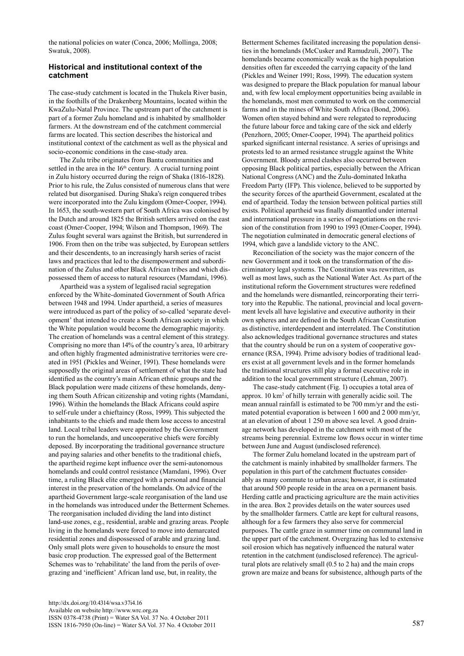the national policies on water (Conca, 2006; Mollinga, 2008; Swatuk, 2008).

# **Historical and institutional context of the catchment**

The case-study catchment is located in the Thukela River basin, in the foothills of the Drakenberg Mountains, located within the KwaZulu-Natal Province. The upstream part of the catchment is part of a former Zulu homeland and is inhabited by smallholder farmers. At the downstream end of the catchment commercial farms are located. This section describes the historical and institutional context of the catchment as well as the physical and socio-economic conditions in the case-study area.

The Zulu tribe originates from Bantu communities and settled in the area in the  $16<sup>th</sup>$  century. A crucial turning point in Zulu history occurred during the reign of Shaka (1816-1828). Prior to his rule, the Zulus consisted of numerous clans that were related but disorganised. During Shaka's reign conquered tribes were incorporated into the Zulu kingdom (Omer-Cooper, 1994). In 1653, the south-western part of South Africa was colonised by the Dutch and around 1825 the British settlers arrived on the east coast (Omer-Cooper, 1994; Wilson and Thompson, 1969). The Zulus fought several wars against the British, but surrendered in 1906. From then on the tribe was subjected, by European settlers and their descendents, to an increasingly harsh series of racist laws and practices that led to the disempowerment and subordination of the Zulus and other Black African tribes and which dispossessed them of access to natural resources (Mamdani, 1996).

Apartheid was a system of legalised racial segregation enforced by the White-dominated Government of [South Africa](http://en.wikipedia.org/wiki/South_Africa)  between 1948 and 1994. Under apartheid, a series of measures were introduced as part of the policy of so-called 'separate development' that intended to create a South African society in which the White population would become the demographic majority. The creation of homelands was a central element of this strategy. Comprising no more than 14% of the country's area, 10 arbitrary and often highly fragmented administrative territories were created in 1951 (Pickles and Weiner, 1991). These homelands were supposedly the original areas of settlement of what the state had identified as the country's main African ethnic groups and the Black population were made citizens of these homelands, denying them South African citizenship and voting rights (Mamdani, 1996). Within the homelands the Black Africans could aspire to self-rule under a chieftaincy (Ross, 1999). This subjected the inhabitants to the chiefs and made them lose access to ancestral land. Local tribal leaders were appointed by the Government to run the homelands, and uncooperative chiefs were forcibly deposed. By incorporating the traditional governance structure and paying salaries and other benefits to the traditional chiefs, the apartheid regime kept influence over the semi-autonomous homelands and could control resistance (Mamdani, 1996). Over time, a ruling Black elite emerged with a personal and financial interest in the preservation of the homelands. On advice of the apartheid Government large-scale reorganisation of the land use in the homelands was introduced under the Betterment Schemes. The reorganisation included dividing the land into distinct land-use zones, e.g., residential, arable and grazing areas. People living in the homelands were forced to move into demarcated residential zones and dispossessed of arable and grazing land. Only small plots were given to households to ensure the most basic crop production. The expressed goal of the Betterment Schemes was to 'rehabilitate' the land from the perils of overgrazing and 'inefficient' African land use, but, in reality, the

Betterment Schemes facilitated increasing the population densities in the homelands (McCusker and Ramudzuli, 2007). The homelands became economically weak as the high population densities often far exceeded the carrying capacity of the land (Pickles and Weiner 1991; Ross, 1999). The education system was designed to prepare the Black population for manual labour and, with few local employment opportunities being available in the homelands, most men commuted to work on the commercial farms and in the mines of White South Africa (Bond, 2006). Women often stayed behind and were relegated to reproducing the future labour force and taking care of the sick and elderly (Penzhorn, 2005; Omer-Cooper, 1994). The apartheid politics sparked significant internal resistance. A series of uprisings and protests led to an armed resistance struggle against the White Government. Bloody armed clashes also occurred between opposing Black political parties, especially between the African National Congress (ANC) and the Zulu-dominated Inkatha Freedom Party (IFP). This violence, believed to be supported by the security forces of the apartheid Government, escalated at the end of apartheid. Today the tension between political parties still exists. Political apartheid was finally dismantled under internal and international pressure in a series of negotiations on the revision of the constitution from 1990 to 1993 (Omer-Cooper, 1994). The negotiation culminated in democratic general elections of 1994, which gave a landslide victory to the ANC.

Reconciliation of the society was the major concern of the new Government and it took on the transformation of the discriminatory legal systems. The Constitution was rewritten, as well as most laws, such as the National Water Act. As part of the institutional reform the Government structures were redefined and the homelands were dismantled, reincorporating their territory into the Republic. The national, provincial and local government levels all have legislative and executive authority in their own spheres and are defined in the South African Constitution as distinctive, interdependent and interrelated. The Constitution also acknowledges traditional governance structures and states that the country should be run on a system of cooperative governance (RSA, 1994). Prime advisory bodies of traditional leaders exist at all government levels and in the former homelands the traditional structures still play a formal executive role in addition to the local government structure (Lehman, 2007).

The case-study catchment (Fig. 1) occupies a total area of approx. 10 km2 of hilly terrain with generally acidic soil. The mean annual rainfall is estimated to be 700 mm/yr and the estimated potential evaporation is between 1 600 and 2 000 mm/yr, at an elevation of about 1 250 m above sea level. A good drainage network has developed in the catchment with most of the streams being perennial. Extreme low flows occur in winter time between June and August (undisclosed reference).

The former Zulu homeland located in the upstream part of the catchment is mainly inhabited by smallholder farmers. The population in this part of the catchment fluctuates considerably as many commute to urban areas; however, it is estimated that around 500 people reside in the area on a permanent basis. Herding cattle and practicing agriculture are the main activities in the area. Box 2 provides details on the water sources used by the smallholder farmers. Cattle are kept for cultural reasons, although for a few farmers they also serve for commercial purposes. The cattle graze in summer time on communal land in the upper part of the catchment. Overgrazing has led to extensive soil erosion which has negatively influenced the natural water retention in the catchment (undisclosed reference). The agricultural plots are relatively small (0.5 to 2 ha) and the main crops grown are maize and beans for subsistence, although parts of the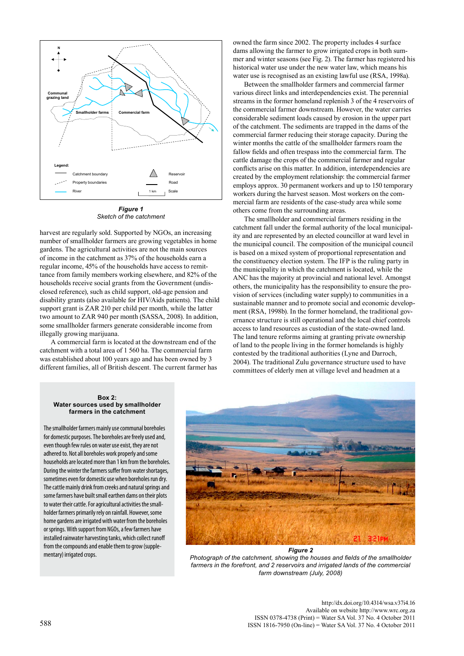

*Figure 1 Sketch of the catchment* 

harvest are regularly sold. Supported by NGOs, an increasing number of smallholder farmers are growing vegetables in home gardens. The agricultural activities are not the main sources of income in the catchment as 37% of the households earn a regular income, 45% of the households have access to remittance from family members working elsewhere, and 82% of the households receive social grants from the Government (undisclosed reference), such as child support, old-age pension and disability grants (also available for HIV/Aids patients). The child support grant is ZAR 210 per child per month, while the latter two amount to ZAR 940 per month (SASSA, 2008). In addition, some smallholder farmers generate considerable income from illegally growing marijuana.

A commercial farm is located at the downstream end of the catchment with a total area of 1 560 ha. The commercial farm was established about 100 years ago and has been owned by 3 different families, all of British descent. The current farmer has owned the farm since 2002. The property includes 4 surface dams allowing the farmer to grow irrigated crops in both summer and winter seasons (see Fig. 2). The farmer has registered his historical water use under the new water law, which means his water use is recognised as an existing lawful use (RSA, 1998a).

Between the smallholder farmers and commercial farmer various direct links and interdependencies exist. The perennial streams in the former homeland replenish 3 of the 4 reservoirs of the commercial farmer downstream. However, the water carries considerable sediment loads caused by erosion in the upper part of the catchment. The sediments are trapped in the dams of the commercial farmer reducing their storage capacity. During the winter months the cattle of the smallholder farmers roam the fallow fields and often trespass into the commercial farm. The cattle damage the crops of the commercial farmer and regular conflicts arise on this matter. In addition, interdependencies are created by the employment relationship: the commercial farmer employs approx. 30 permanent workers and up to 150 temporary workers during the harvest season. Most workers on the commercial farm are residents of the case-study area while some others come from the surrounding areas.

The smallholder and commercial farmers residing in the catchment fall under the formal authority of the local municipality and are represented by an elected councillor at ward level in the municipal council. The composition of the municipal council is based on a mixed system of proportional representation and the constituency election system. The IFP is the ruling party in the municipality in which the catchment is located, while the ANC has the majority at provincial and national level. Amongst others, the municipality has the responsibility to ensure the provision of services (including water supply) to communities in a sustainable manner and to promote social and economic development (RSA, 1998b). In the former homeland, the traditional governance structure is still operational and the local chief controls access to land resources as custodian of the state-owned land. The land tenure reforms aiming at granting private ownership of land to the people living in the former homelands is highly contested by the traditional authorities (Lyne and Darroch, 2004). The traditional Zulu governance structure used to have committees of elderly men at village level and headmen at a

#### **Box 2: Water sources used by smallholder farmers in the catchment**

The smallholder farmers mainly use communal boreholes for domestic purposes. The boreholes are freely used and, even though few rules on water use exist, they are not adhered to. Not all boreholes work properly and some households are located more than 1 km from the boreholes. During the winter the farmers suffer from water shortages, sometimes even for domestic use when boreholes run dry. The cattle mainly drink from creeks and natural springs and some farmers have built small earthen dams on their plots to water their cattle. For agricultural activities the smallholder farmers primarily rely on rainfall. However, some home gardens are irrigated with water from the boreholes or springs. With support from NGOs, a few farmers have installed rainwater harvesting tanks, which collect runoff from the compounds and enable them to grow (supple-



mentary) irrigated crops. *Figure 2 Photograph of the catchment, showing the houses and fields of the smallholder farmers in the forefront, and 2 reservoirs and irrigated lands of the commercial farm downstream (July, 2008)*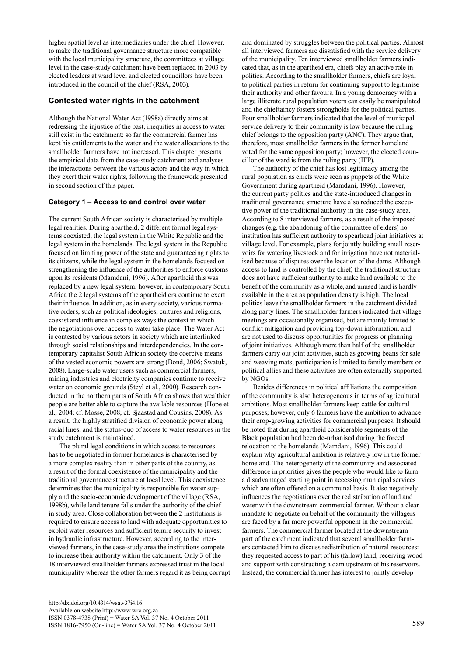higher spatial level as intermediaries under the chief. However, to make the traditional governance structure more compatible with the local municipality structure, the committees at village level in the case-study catchment have been replaced in 2003 by elected leaders at ward level and elected councillors have been introduced in the council of the chief (RSA, 2003).

# **Contested water rights in the catchment**

Although the National Water Act (1998a) directly aims at redressing the injustice of the past, inequities in access to water still exist in the catchment: so far the commercial farmer has kept his entitlements to the water and the water allocations to the smallholder farmers have not increased. This chapter presents the empirical data from the case-study catchment and analyses the interactions between the various actors and the way in which they exert their water rights, following the framework presented in second section of this paper.

# **Category 1 – Access to and control over water**

The current South African society is characterised by multiple legal realities. During apartheid, 2 different formal legal systems coexisted, the legal system in the White Republic and the legal system in the homelands. The legal system in the Republic focused on limiting power of the state and guaranteeing rights to its citizens, while the legal system in the homelands focused on strengthening the influence of the authorities to enforce customs upon its residents (Mamdani, 1996). After apartheid this was replaced by a new legal system; however, in contemporary South Africa the 2 legal systems of the apartheid era continue to exert their influence. In addition, as in every society, various normative orders, such as political ideologies, cultures and religions, coexist and influence in complex ways the context in which the negotiations over access to water take place. The Water Act is contested by various actors in society which are interlinked through social relationships and interdependencies. In the contemporary capitalist South African society the coercive means of the vested economic powers are strong (Bond, 2006; Swatuk, 2008). Large-scale water users such as commercial farmers, mining industries and electricity companies continue to receive water on economic grounds (Steyl et al., 2000). Research conducted in the northern parts of South Africa shows that wealthier people are better able to capture the available resources (Hope et al., 2004; cf. Mosse, 2008; cf. Sjaastad and Cousins, 2008). As a result, the highly stratified division of economic power along racial lines, and the status-quo of access to water resources in the study catchment is maintained.

The plural legal conditions in which access to resources has to be negotiated in former homelands is characterised by a more complex reality than in other parts of the country, as a result of the formal coexistence of the municipality and the traditional governance structure at local level. This coexistence determines that the municipality is responsible for water supply and the socio-economic development of the village (RSA, 1998b), while land tenure falls under the authority of the chief in study area. Close collaboration between the 2 institutions is required to ensure access to land with adequate opportunities to exploit water resources and sufficient tenure security to invest in hydraulic infrastructure. However, according to the interviewed farmers, in the case-study area the institutions compete to increase their authority within the catchment. Only 3 of the 18 interviewed smallholder farmers expressed trust in the local municipality whereas the other farmers regard it as being corrupt and dominated by struggles between the political parties. Almost all interviewed farmers are dissatisfied with the service delivery of the municipality. Ten interviewed smallholder farmers indicated that, as in the apartheid era, chiefs play an active role in politics. According to the smallholder farmers, chiefs are loyal to political parties in return for continuing support to legitimise their authority and other favours. In a young democracy with a large illiterate rural population voters can easily be manipulated and the chieftaincy fosters strongholds for the political parties. Four smallholder farmers indicated that the level of municipal service delivery to their community is low because the ruling chief belongs to the opposition party (ANC). They argue that, therefore, most smallholder farmers in the former homeland voted for the same opposition party; however, the elected councillor of the ward is from the ruling party (IFP).

The authority of the chief has lost legitimacy among the rural population as chiefs were seen as puppets of the White Government during apartheid (Mamdani, 1996). However, the current party politics and the state-introduced changes in traditional governance structure have also reduced the executive power of the traditional authority in the case-study area. According to 8 interviewed farmers, as a result of the imposed changes (e.g. the abandoning of the committee of elders) no institution has sufficient authority to spearhead joint initiatives at village level. For example, plans for jointly building small reservoirs for watering livestock and for irrigation have not materialised because of disputes over the location of the dams. Although access to land is controlled by the chief, the traditional structure does not have sufficient authority to make land available to the benefit of the community as a whole, and unused land is hardly available in the area as population density is high. The local politics leave the smallholder farmers in the catchment divided along party lines. The smallholder farmers indicated that village meetings are occasionally organised, but are mainly limited to conflict mitigation and providing top-down information, and are not used to discuss opportunities for progress or planning of joint initiatives. Although more than half of the smallholder farmers carry out joint activities, such as growing beans for sale and weaving mats, participation is limited to family members or political allies and these activities are often externally supported by NGOs.

Besides differences in political affiliations the composition of the community is also heterogeneous in terms of agricultural ambitions. Most smallholder farmers keep cattle for cultural purposes; however, only 6 farmers have the ambition to advance their crop-growing activities for commercial purposes. It should be noted that during apartheid considerable segments of the Black population had been de-urbanised during the forced relocation to the homelands (Mamdani, 1996). This could explain why agricultural ambition is relatively low in the former homeland. The heterogeneity of the community and associated difference in priorities gives the people who would like to farm a disadvantaged starting point in accessing municipal services which are often offered on a communal basis. It also negatively influences the negotiations over the redistribution of land and water with the downstream commercial farmer. Without a clear mandate to negotiate on behalf of the community the villagers are faced by a far more powerful opponent in the commercial farmers. The commercial farmer located at the downstream part of the catchment indicated that several smallholder farmers contacted him to discuss redistribution of natural resources: they requested access to part of his (fallow) land, receiving wood and support with constructing a dam upstream of his reservoirs. Instead, the commercial farmer has interest to jointly develop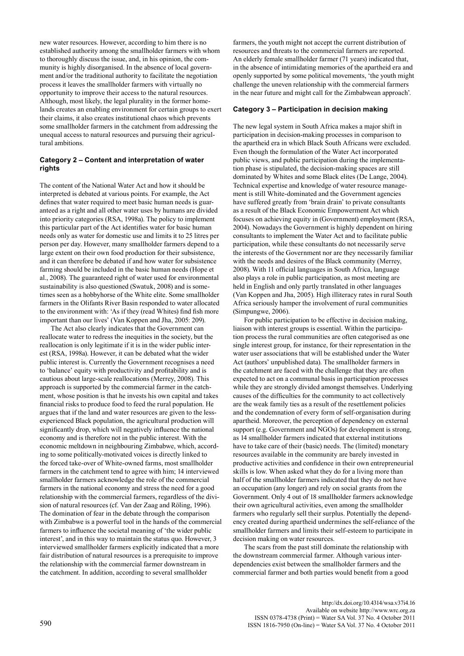new water resources. However, according to him there is no established authority among the smallholder farmers with whom to thoroughly discuss the issue, and, in his opinion, the community is highly disorganised. In the absence of local government and/or the traditional authority to facilitate the negotiation process it leaves the smallholder farmers with virtually no opportunity to improve their access to the natural resources. Although, most likely, the legal plurality in the former homelands creates an enabling environment for certain groups to exert their claims, it also creates institutional chaos which prevents some smallholder farmers in the catchment from addressing the unequal access to natural resources and pursuing their agricultural ambitions.

# **Category 2 – Content and interpretation of water rights**

The content of the National Water Act and how it should be interpreted is debated at various points. For example, the Act defines that water required to meet basic human needs is guaranteed as a right and all other water uses by humans are divided into priority categories (RSA, 1998a). The policy to implement this particular part of the Act identifies water for basic human needs only as water for domestic use and limits it to 25 litres per person per day. However, many smallholder farmers depend to a large extent on their own food production for their subsistence, and it can therefore be debated if and how water for subsistence farming should be included in the basic human needs (Hope et al., 2008). The guaranteed right of water used for environmental sustainability is also questioned (Swatuk, 2008) and is sometimes seen as a hobbyhorse of the White elite. Some smallholder farmers in the Olifants River Basin responded to water allocated to the environment with: 'As if they (read Whites) find fish more important than our lives' (Van Koppen and Jha, 2005: 209).

The Act also clearly indicates that the Government can reallocate water to redress the inequities in the society, but the reallocation is only legitimate if it is in the wider public interest (RSA, 1998a). However, it can be debated what the wider public interest is. Currently the Government recognises a need to 'balance' equity with productivity and profitability and is cautious about large-scale reallocations (Merrey, 2008). This approach is supported by the commercial farmer in the catchment, whose position is that he invests his own capital and takes financial risks to produce food to feed the rural population. He argues that if the land and water resources are given to the lessexperienced Black population, the agricultural production will significantly drop, which will negatively influence the national economy and is therefore not in the public interest. With the economic meltdown in neighbouring Zimbabwe, which, according to some politically-motivated voices is directly linked to the forced take-over of White-owned farms, most smallholder farmers in the catchment tend to agree with him; 14 interviewed smallholder farmers acknowledge the role of the commercial farmers in the national economy and stress the need for a good relationship with the commercial farmers, regardless of the division of natural resources (cf. Van der Zaag and Röling, 1996). The domination of fear in the debate through the comparison with Zimbabwe is a powerful tool in the hands of the commercial farmers to influence the societal meaning of 'the wider public interest', and in this way to maintain the status quo. However, 3 interviewed smallholder farmers explicitly indicated that a more fair distribution of natural resources is a prerequisite to improve the relationship with the commercial farmer downstream in the catchment. In addition, according to several smallholder

farmers, the youth might not accept the current distribution of resources and threats to the commercial farmers are reported. An elderly female smallholder farmer (71 years) indicated that, in the absence of intimidating memories of the apartheid era and openly supported by some political movements, 'the youth might challenge the uneven relationship with the commercial farmers in the near future and might call for the Zimbabwean approach'.

#### **Category 3 – Participation in decision making**

The new legal system in South Africa makes a major shift in participation in decision-making processes in comparison to the apartheid era in which Black South Africans were excluded. Even though the formulation of the Water Act incorporated public views, and public participation during the implementation phase is stipulated, the decision-making spaces are still dominated by Whites and some Black elites (De Lange, 2004). Technical expertise and knowledge of water resource management is still White-dominated and the Government agencies have suffered greatly from 'brain drain' to private consultants as a result of the Black Economic Empowerment Act which focuses on achieving equity in (Government) employment (RSA, 2004). Nowadays the Government is highly dependent on hiring consultants to implement the Water Act and to facilitate public participation, while these consultants do not necessarily serve the interests of the Government nor are they necessarily familiar with the needs and desires of the Black community (Merrey, 2008). With 11 official languages in South Africa, language also plays a role in public participation, as most meeting are held in English and only partly translated in other languages (Van Koppen and Jha, 2005). High illiteracy rates in rural South Africa seriously hamper the involvement of rural communities (Simpungwe, 2006).

For public participation to be effective in decision making, liaison with interest groups is essential. Within the participation process the rural communities are often categorised as one single interest group, for instance, for their representation in the water user associations that will be established under the Water Act (authors' unpublished data). The smallholder farmers in the catchment are faced with the challenge that they are often expected to act on a communal basis in participation processes while they are strongly divided amongst themselves. Underlying causes of the difficulties for the community to act collectively are the weak family ties as a result of the resettlement policies and the condemnation of every form of self-organisation during apartheid. Moreover, the perception of dependency on external support (e.g. Government and NGOs) for development is strong, as 14 smallholder farmers indicated that external institutions have to take care of their (basic) needs. The (limited) monetary resources available in the community are barely invested in productive activities and confidence in their own entrepreneurial skills is low. When asked what they do for a living more than half of the smallholder farmers indicated that they do not have an occupation (any longer) and rely on social grants from the Government. Only 4 out of 18 smallholder farmers acknowledge their own agricultural activities, even among the smallholder farmers who regularly sell their surplus. Potentially the dependency created during apartheid undermines the self-reliance of the smallholder farmers and limits their self-esteem to participate in decision making on water resources.

The scars from the past still dominate the relationship with the downstream commercial farmer. Although various interdependencies exist between the smallholder farmers and the commercial farmer and both parties would benefit from a good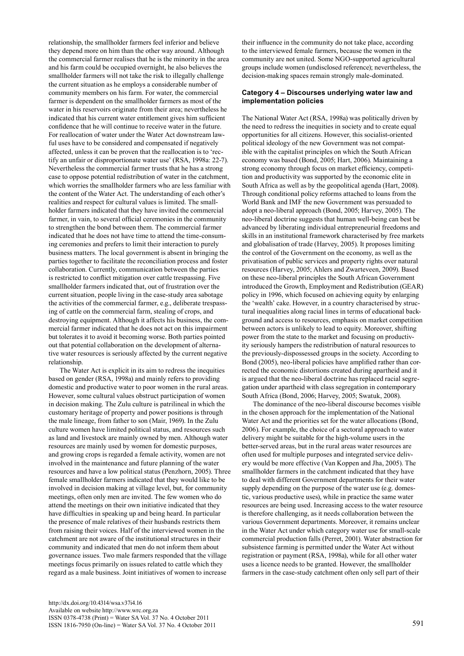relationship, the smallholder farmers feel inferior and believe they depend more on him than the other way around. Although the commercial farmer realises that he is the minority in the area and his farm could be occupied overnight, he also believes the smallholder farmers will not take the risk to illegally challenge the current situation as he employs a considerable number of community members on his farm. For water, the commercial farmer is dependent on the smallholder farmers as most of the water in his reservoirs originate from their area; nevertheless he indicated that his current water entitlement gives him sufficient confidence that he will continue to receive water in the future. For reallocation of water under the Water Act downstream lawful uses have to be considered and compensated if negatively affected, unless it can be proven that the reallocation is to 'rectify an unfair or disproportionate water use' (RSA, 1998a: 22-7). Nevertheless the commercial farmer trusts that he has a strong case to oppose potential redistribution of water in the catchment, which worries the smallholder farmers who are less familiar with the content of the Water Act. The understanding of each other's realities and respect for cultural values is limited. The smallholder farmers indicated that they have invited the commercial farmer, in vain, to several official ceremonies in the community to strengthen the bond between them. The commercial farmer indicated that he does not have time to attend the time-consuming ceremonies and prefers to limit their interaction to purely business matters. The local government is absent in bringing the parties together to facilitate the reconciliation process and foster collaboration. Currently, communication between the parties is restricted to conflict mitigation over cattle trespassing. Five smallholder farmers indicated that, out of frustration over the current situation, people living in the case-study area sabotage the activities of the commercial farmer, e.g., deliberate trespassing of cattle on the commercial farm, stealing of crops, and destroying equipment. Although it affects his business, the commercial farmer indicated that he does not act on this impairment but tolerates it to avoid it becoming worse. Both parties pointed out that potential collaboration on the development of alternative water resources is seriously affected by the current negative relationship.

The Water Act is explicit in its aim to redress the inequities based on gender (RSA, 1998a) and mainly refers to providing domestic and productive water to poor women in the rural areas. However, some cultural values obstruct participation of women in decision making. The Zulu culture is patrilineal in which the customary heritage of property and power positions is through the male lineage, from father to son (Mair, 1969). In the Zulu culture women have limited political status, and resources such as land and livestock are mainly owned by men. Although water resources are mainly used by women for domestic purposes, and growing crops is regarded a female activity, women are not involved in the maintenance and future planning of the water resources and have a low political status (Penzhorn, 2005). Three female smallholder farmers indicated that they would like to be involved in decision making at village level, but, for community meetings, often only men are invited. The few women who do attend the meetings on their own initiative indicated that they have difficulties in speaking up and being heard. In particular the presence of male relatives of their husbands restricts them from raising their voices. Half of the interviewed women in the catchment are not aware of the institutional structures in their community and indicated that men do not inform them about governance issues. Two male farmers responded that the village meetings focus primarily on issues related to cattle which they regard as a male business. Joint initiatives of women to increase

their influence in the community do not take place, according to the interviewed female farmers, because the women in the community are not united. Some NGO-supported agricultural groups include women (undisclosed reference); nevertheless, the decision-making spaces remain strongly male-dominated.

#### **Category 4 – Discourses underlying water law and implementation policies**

The National Water Act (RSA, 1998a) was politically driven by the need to redress the inequities in society and to create equal opportunities for all citizens. However, this socialist-oriented political ideology of the new Government was not compatible with the capitalist principles on which the South African economy was based (Bond, 2005; Hart, 2006). Maintaining a strong economy through focus on market efficiency, competition and productivity was supported by the economic elite in South Africa as well as by the geopolitical agenda (Hart, 2008). Through conditional policy reforms attached to loans from the World Bank and IMF the new Government was persuaded to adopt a neo-liberal approach (Bond, 2005; Harvey, 2005). The neo-liberal doctrine suggests that human well-being can best be advanced by liberating individual entrepreneurial freedoms and skills in an institutional framework characterised by free markets and globalisation of trade (Harvey, 2005). It proposes limiting the control of the Government on the economy, as well as the privatisation of public services and property rights over natural resources (Harvey, 2005; Ahlers and Zwarteveen, 2009). Based on these neo-liberal principles the South African Government introduced the Growth, Employment and Redistribution (GEAR) policy in 1996, which focused on achieving equity by enlarging the 'wealth' cake. However, in a country characterised by structural inequalities along racial lines in terms of educational background and access to resources, emphasis on market competition between actors is unlikely to lead to equity. Moreover, shifting power from the state to the market and focusing on productivity seriously hampers the redistribution of natural resources to the previously-dispossessed groups in the society. According to Bond (2005), neo-liberal policies have amplified rather than corrected the economic distortions created during apartheid and it is argued that the neo-liberal doctrine has replaced racial segregation under apartheid with class segregation in contemporary South Africa (Bond, 2006; Harvey, 2005; Swatuk, 2008).

The dominance of the neo-liberal discourse becomes visible in the chosen approach for the implementation of the National Water Act and the priorities set for the water allocations (Bond, 2006). For example, the choice of a sectoral approach to water delivery might be suitable for the high-volume users in the better-served areas, but in the rural areas water resources are often used for multiple purposes and integrated service delivery would be more effective (Van Koppen and Jha, 2005). The smallholder farmers in the catchment indicated that they have to deal with different Government departments for their water supply depending on the purpose of the water use (e.g. domestic, various productive uses), while in practice the same water resources are being used. Increasing access to the water resource is therefore challenging, as it needs collaboration between the various Government departments. Moreover, it remains unclear in the Water Act under which category water use for small-scale commercial production falls (Perret, 2001). Water abstraction for subsistence farming is permitted under the Water Act without registration or payment (RSA, 1998a), while for all other water uses a licence needs to be granted. However, the smallholder farmers in the case-study catchment often only sell part of their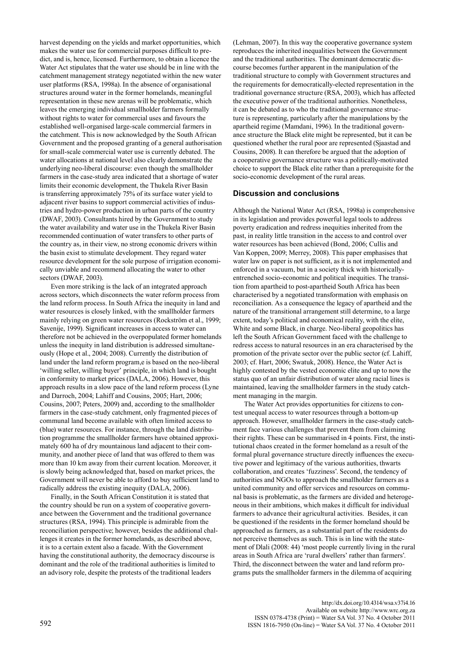harvest depending on the yields and market opportunities, which makes the water use for commercial purposes difficult to predict, and is, hence, licensed. Furthermore, to obtain a licence the Water Act stipulates that the water use should be in line with the catchment management strategy negotiated within the new water user platforms (RSA, 1998a). In the absence of organisational structures around water in the former homelands, meaningful representation in these new arenas will be problematic, which leaves the emerging individual smallholder farmers formally without rights to water for commercial uses and favours the established well-organised large-scale commercial farmers in the catchment. This is now acknowledged by the South African Government and the proposed granting of a general authorisation for small-scale commercial water use is currently debated. The water allocations at national level also clearly demonstrate the underlying neo-liberal discourse: even though the smallholder farmers in the case-study area indicated that a shortage of water limits their economic development, the Thukela River Basin is transferring approximately 75% of its surface water yield to adjacent river basins to support commercial activities of industries and hydro-power production in urban parts of the country (DWAF, 2003). Consultants hired by the Government to study the water availability and water use in the Thukela River Basin recommended continuation of water transfers to other parts of the country as, in their view, no strong economic drivers within the basin exist to stimulate development. They regard water resource development for the sole purpose of irrigation economically unviable and recommend allocating the water to other sectors (DWAF, 2003).

Even more striking is the lack of an integrated approach across sectors, which disconnects the water reform process from the land reform process. In South Africa the inequity in land and water resources is closely linked, with the smallholder farmers mainly relying on green water resources (Rockström et al., 1999; Savenije, 1999). Significant increases in access to water can therefore not be achieved in the overpopulated former homelands unless the inequity in land distribution is addressed simultaneously (Hope et al., 2004; 2008). Currently the distribution of land under the land reform program,e is based on the neo-liberal 'willing seller, willing buyer' principle, in which land is bought in conformity to market prices (DALA, 2006). However, this approach results in a slow pace of the land reform process (Lyne and Darroch, 2004; Lahiff and Cousins, 2005; Hart, 2006; Cousins, 2007; Peters, 2009) and, according to the smallholder farmers in the case-study catchment, only fragmented pieces of communal land become available with often limited access to (blue) water resources. For instance, through the land distribution programme the smallholder farmers have obtained approximately 600 ha of dry mountainous land adjacent to their community, and another piece of land that was offered to them was more than 10 km away from their current location. Moreover, it is slowly being acknowledged that, based on market prices, the Government will never be able to afford to buy sufficient land to radically address the existing inequity (DALA, 2006).

Finally, in the South African Constitution it is stated that the country should be run on a system of cooperative governance between the Government and the traditional governance structures (RSA, 1994). This principle is admirable from the reconciliation perspective; however, besides the additional challenges it creates in the former homelands, as described above, it is to a certain extent also a facade. With the Government having the constitutional authority, the democracy discourse is dominant and the role of the traditional authorities is limited to an advisory role, despite the protests of the traditional leaders

(Lehman, 2007). In this way the cooperative governance system reproduces the inherited inequalities between the Government and the traditional authorities. The dominant democratic discourse becomes further apparent in the manipulation of the traditional structure to comply with Government structures and the requirements for democratically-elected representation in the traditional governance structure (RSA, 2003), which has affected the executive power of the traditional authorities. Nonetheless, it can be debated as to who the traditional governance structure is representing, particularly after the manipulations by the apartheid regime (Mamdani, 1996). In the traditional governance structure the Black elite might be represented, but it can be questioned whether the rural poor are represented (Sjaastad and Cousins, 2008). It can therefore be argued that the adoption of a cooperative governance structure was a politically-motivated choice to support the Black elite rather than a prerequisite for the socio-economic development of the rural areas.

#### **Discussion and conclusions**

Although the National Water Act (RSA, 1998a) is comprehensive in its legislation and provides powerful legal tools to address poverty eradication and redress inequities inherited from the past, in reality little transition in the access to and control over water resources has been achieved (Bond, 2006; Cullis and Van Koppen, 2009; Merrey, 2008). This paper emphasises that water law on paper is not sufficient, as it is not implemented and enforced in a vacuum, but in a society thick with historicallyentrenched socio-economic and political inequities. The transition from apartheid to post-apartheid South Africa has been characterised by a negotiated transformation with emphasis on reconciliation. As a consequence the legacy of apartheid and the nature of the transitional arrangement still determine, to a large extent, today's political and economical reality, with the elite, White and some Black, in charge. Neo-liberal geopolitics has left the South African Government faced with the challenge to redress access to natural resources in an era characterised by the promotion of the private sector over the public sector (cf. Lahiff, 2003; cf. Hart, 2006; Swatuk, 2008). Hence, the Water Act is highly contested by the vested economic elite and up to now the status quo of an unfair distribution of water along racial lines is maintained, leaving the smallholder farmers in the study catchment managing in the margin.

The Water Act provides opportunities for citizens to contest unequal access to water resources through a bottom-up approach. However, smallholder farmers in the case-study catchment face various challenges that prevent them from claiming their rights. These can be summarised in 4 points. First, the institutional chaos created in the former homeland as a result of the formal plural governance structure directly influences the executive power and legitimacy of the various authorities, thwarts collaboration, and creates 'fuzziness'. Second, the tendency of authorities and NGOs to approach the smallholder farmers as a united community and offer services and resources on communal basis is problematic, as the farmers are divided and heterogeneous in their ambitions, which makes it difficult for individual farmers to advance their agricultural activities. Besides, it can be questioned if the residents in the former homeland should be approached as farmers, as a substantial part of the residents do not perceive themselves as such. This is in line with the statement of Dlali (2008: 44) 'most people currently living in the rural areas in South Africa are 'rural dwellers' rather than farmers'. Third, the disconnect between the water and land reform programs puts the smallholder farmers in the dilemma of acquiring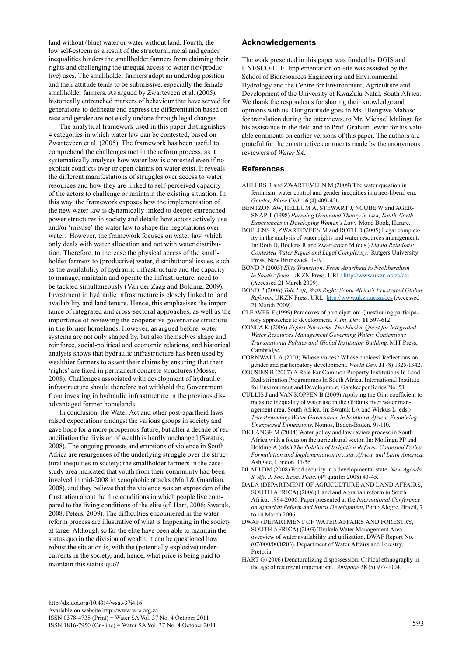land without (blue) water or water without land. Fourth, the low self-esteem as a result of the structural, racial and gender inequalities hinders the smallholder farmers from claiming their rights and challenging the unequal access to water for (productive) uses. The smallholder farmers adopt an underdog position and their attitude tends to be submissive, especially the female smallholder farmers. As argued by Zwarteveen et al. (2005), historically entrenched markers of behaviour that have served for generations to delineate and express the differentiation based on race and gender are not easily undone through legal changes.

The analytical framework used in this paper distinguishes 4 categories in which water law can be contested, based on Zwarteveen et al. (2005). The framework has been useful to comprehend the challenges met in the reform process, as it systematically analyses how water law is contested even if no explicit conflicts over or open claims on water exist. It reveals the different manifestations of struggles over access to water resources and how they are linked to self-perceived capacity of the actors to challenge or maintain the existing situation. In this way, the framework exposes how the implementation of the new water law is dynamically linked to deeper entrenched power structures in society and details how actors actively use and/or 'misuse' the water law to shape the negotiations over water. However, the framework focuses on water law, which only deals with water allocation and not with water distribution. Therefore, to increase the physical access of the smallholder farmers to (productive) water, distributional issues, such as the availability of hydraulic infrastructure and the capacity to manage, maintain and operate the infrastructure, need to be tackled simultaneously (Van der Zaag and Bolding, 2009). Investment in hydraulic infrastructure is closely linked to land availability and land tenure. Hence, this emphasises the importance of integrated and cross-sectoral approaches, as well as the importance of reviewing the cooperative governance structure in the former homelands. However, as argued before, water systems are not only shaped by, but also themselves shape and reinforce, social-political and economic relations, and historical analysis shows that hydraulic infrastructure has been used by wealthier farmers to assert their claims by ensuring that their 'rights' are fixed in permanent concrete structures (Mosse, 2008). Challenges associated with development of hydraulic infrastructure should therefore not withhold the Government from investing in hydraulic infrastructure in the previous disadvantaged former homelands.

In conclusion, the Water Act and other post-apartheid laws raised expectations amongst the various groups in society and gave hope for a more prosperous future, but after a decade of reconciliation the division of wealth is hardly unchanged (Swatuk, 2008). The ongoing protests and eruptions of violence in South Africa are resurgences of the underlying struggle over the structural inequities in society; the smallholder farmers in the casestudy area indicated that youth from their community had been involved in mid-2008 in xenophobic attacks (Mail & Guardian, 2008), and they believe that the violence was an expression of the frustration about the dire conditions in which people live compared to the living conditions of the elite (cf. Hart, 2006; Swatuk, 2008; Peters, 2009). The difficulties encountered in the water reform process are illustrative of what is happening in the society at large. Although so far the elite have been able to maintain the status quo in the division of wealth, it can be questioned how robust the situation is, with the (potentially explosive) undercurrents in the society, and, hence, what price is being paid to maintain this status-quo?

### **Acknowledgements**

The work presented in this paper was funded by DGIS and UNESCO-IHE. Implementation on-site was assisted by the School of Bioresources Engineering and Environmental Hydrology and the Centre for Environment, Agriculture and Development of the University of KwaZulu-Natal, South Africa. We thank the respondents for sharing their knowledge and opinions with us. Our gratitude goes to Ms. Hlengiwe Mabaso for translation during the interviews, to Mr. Michael Malinga for his assistance in the field and to Prof. Graham Jewitt for his valuable comments on earlier versions of this paper. The authors are grateful for the constructive comments made by the anonymous reviewers of *Water SA*.

#### **References**

- AHLERS R and ZWARTEVEEN M (2009) The water question in feminism: water control and gender inequities in a neo-liberal era. *Gender, Place Cult.* **16** (4) 409-426.
- BENTZON AW, HELLUM A, STEWART J, NCUBE W and AGER-SNAP T (1998) *Pursuing Grounded Theory in Law, South-North Experiences in Developing Women's Law*. Mond Book, Harare.
- BOELENS R, ZWARTEVEEN M and ROTH D (2005) Legal complexity in the analysis of water rights and water resources management. In: Roth D, Boelens R and Zwarteveen M (eds.) *Liquid Relations: Contested Water Rights and Legal Complexity*. Rutgers University Press, New Brunswick. 1-19.
- BOND P (2005) *Elite Transition: From Apartheid to Neoliberalism in South Africa*. UKZN Press. URL: http://www.ukzn.ac.za/ccs (Accessed 21 March 2009).
- BOND P (2006) *Talk Left, Walk Right: South Africa's Frustrated Global Reforms*. UKZN Press. URL: http://www.ukzn.ac.za/ccs (Accessed 21 March 2009).
- CLEAVER F (1999) Paradoxes of participation: Questioning participatory approaches to development. *J. Int. Dev.* **11** 597-612.
- CONCA K (2006) *Expert Networks: The Elusive Quest for Integrated Water Resources Management Governing Water: Contentions Transnational Politics and Global Institution Building*. MIT Press, Cambridge.
- CORNWALL A (2003) Whose voices? Whose choices? Reflections on gender and participatory development. *World Dev.* **31** (8) 1325-1342.
- COUSINS B (2007) A Role For Common Property Institutions In Land Redistribution Programmes In South Africa. International Institute for Environment and Development, Gatekeeper Series No. 53.
- CULLIS J and VAN KOPPEN B (2009) Applying the Gini coefficient to measure inequality of water use in the Olifants river water management area, South Africa. In: Swatuk LA and Wirkus L (eds.) *Transboundary Water Governance in Southern Africa: Examining Unexplored Dimensions*. Nomos, Baden-Baden. 91-110.
- DE LANGE M (2004) Water policy and law review process in South Africa with a focus on the agricultural sector. In: Mollinga PP and Bolding A (eds.) *The Politics of Irrigation Reform: Contested Policy Formulation and Implementation in Asia, Africa, and Latin America*. Ashgate, London. 11-56.
- DLALI DM (2008) Food security in a developmental state. *New Agenda, S. Afr. J. Soc. Econ. Polic.* (4th quarter 2008) 43-45.
- DALA (DEPARTMENT OF AGRICULTURE AND LAND AFFAIRS, SOUTH AFRICA) (2006) Land and Agrarian reform in South Africa: 1994-2006. Paper presented at the *International Conference on Agrarian Reform and Rural Development*, Porto Alegre, Brazil, 7 to 10 March 2006.
- DWAF (DEPARTMENT OF WATER AFFAIRS AND FORESTRY, SOUTH AFRICA) (2003) Thukela Water Management Area: overview of water availability and utilization. DWAF Report No. (07/000/00/0203). Department of Water Affairs and Forestry, Pretoria.
- HART G (2006) Denaturalizing dispossession: Critical ethnography in the age of resurgent imperialism. *Antipode* **38** (5) 977-1004.